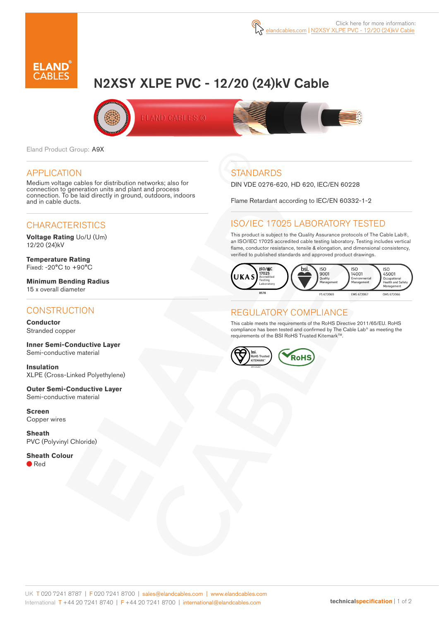

# N2XSY XLPE PVC - 12/20 (24)kV Cable



Eland Product Group: A9X

#### APPLICATION

Medium voltage cables for distribution networks; also for connection to generation units and plant and process connection. To be laid directly in ground, outdoors, indoors and in cable ducts.

# **CHARACTERISTICS**

**Voltage Rating** Uo/U (Um) 12/20 (24)kV

**Temperature Rating** Fixed: -20°C to +90°C

**Minimum Bending Radius**  15 x overall diameter

### **CONSTRUCTION**

**Conductor**  Stranded copper

**Inner Semi-Conductive Layer** Semi-conductive material

**Insulation** XLPE (Cross-Linked Polyethylene)

**Outer Semi-Conductive Layer**  Semi-conductive material

**Screen** Copper wires

**Sheath** PVC (Polyvinyl Chloride)

**Sheath Colour** ● Red

# **STANDARDS**

DIN VDE 0276-620, HD 620, IEC/EN 60228

Flame Retardant according to IEC/EN 60332-1-2

# ISO/IEC 17025 LABORATORY TESTED

This product is subject to the Quality Assurance protocols of The Cable Lab®, an ISO/IEC 17025 accredited cable testing laboratory. Testing includes vertical flame, conductor resistance, tensile & elongation, and dimensional consistency, verified to published standards and approved product drawings.



### REGULATORY COMPLIANCE

This cable meets the requirements of the RoHS Directive 2011/65/EU. RoHS compliance has been tested and confirmed by The Cable Lab® as meeting the requirements of the BSI RoHS Trusted Kitemark™.